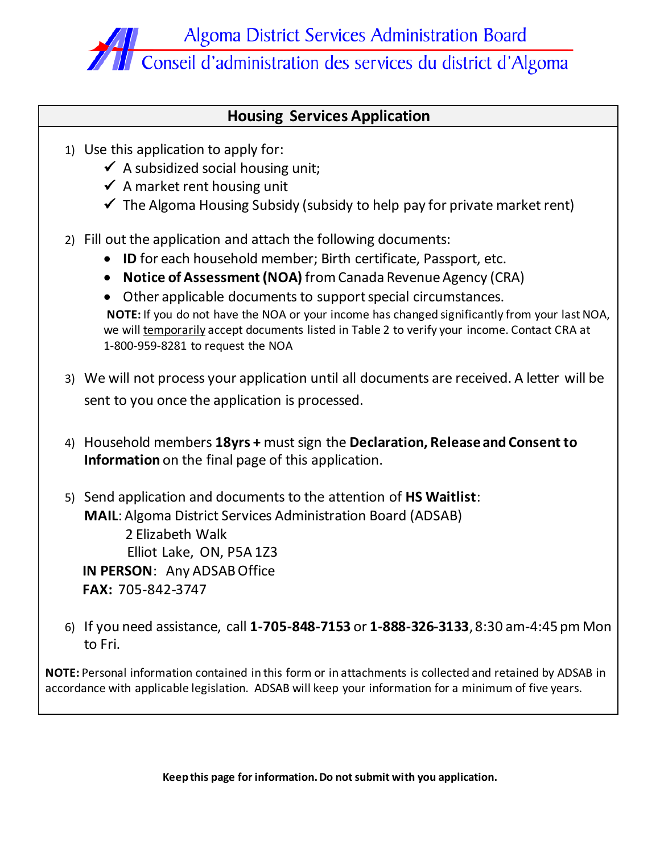

## **Housing Services Application**

- 1) Use this application to apply for:
	- $\checkmark$  A subsidized social housing unit;
	- $\checkmark$  A market rent housing unit
	- $\checkmark$  The Algoma Housing Subsidy (subsidy to help pay for private market rent)
- 2) Fill out the application and attach the following documents:
	- **ID** for each household member; Birth certificate, Passport, etc.
	- **Notice of Assessment (NOA)** from Canada Revenue Agency (CRA)
	- Other applicable documents to support special circumstances. **NOTE:** If you do not have the NOA or your income has changed significantly from your last NOA, we will temporarily accept documents listed in Table 2 to verify your income. Contact CRA at 1-800-959-8281 to request the NOA
- 3) We will not process your application until all documents are received. A letter will be sent to you once the application is processed.
- 4) Household members **18yrs +** must sign the **Declaration, Release and Consent to Information** on the final page of this application.
- 5) Send application and documents to the attention of **HS Waitlist**: **MAIL**: Algoma District Services Administration Board (ADSAB) 2 Elizabeth Walk Elliot Lake, ON, P5A 1Z3 **IN PERSON**: Any ADSAB Office **FAX:** 705-842-3747
- 6) If you need assistance, call **1-705-848-7153** or **1-888-326-3133**, 8:30 am-4:45 pm Mon to Fri.

**NOTE:** Personal information contained in this form or in attachments is collected and retained by ADSAB in accordance with applicable legislation. ADSAB will keep your information for a minimum of five years.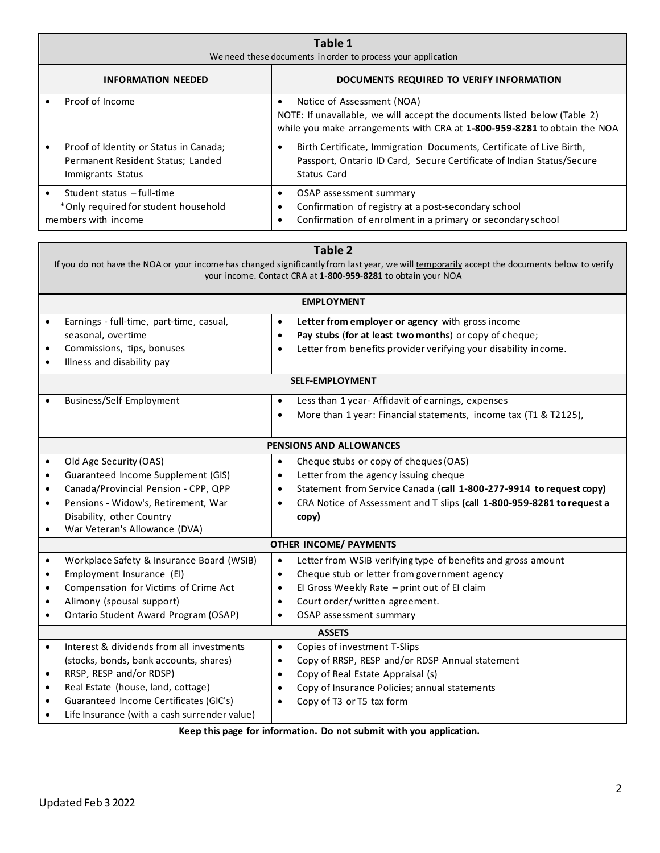| Table 1<br>We need these documents in order to process your application                          |                                                                                                                                                                                                  |  |  |
|--------------------------------------------------------------------------------------------------|--------------------------------------------------------------------------------------------------------------------------------------------------------------------------------------------------|--|--|
| <b>INFORMATION NEEDED</b>                                                                        | DOCUMENTS REQUIRED TO VERIFY INFORMATION                                                                                                                                                         |  |  |
| Proof of Income                                                                                  | Notice of Assessment (NOA)<br>$\bullet$<br>NOTE: If unavailable, we will accept the documents listed below (Table 2)<br>while you make arrangements with CRA at 1-800-959-8281 to obtain the NOA |  |  |
| Proof of Identity or Status in Canada;<br>Permanent Resident Status; Landed<br>Immigrants Status | Birth Certificate, Immigration Documents, Certificate of Live Birth,<br>Passport, Ontario ID Card, Secure Certificate of Indian Status/Secure<br>Status Card                                     |  |  |
| Student status - full-time<br>*Only required for student household<br>members with income        | OSAP assessment summary<br>$\bullet$<br>Confirmation of registry at a post-secondary school<br>Confirmation of enrolment in a primary or secondary school                                        |  |  |

|           | <b>Table 2</b>                                                                                                                               |           |                                                                        |  |  |  |
|-----------|----------------------------------------------------------------------------------------------------------------------------------------------|-----------|------------------------------------------------------------------------|--|--|--|
|           | If you do not have the NOA or your income has changed significantly from last year, we will temporarily accept the documents below to verify |           |                                                                        |  |  |  |
|           | your income. Contact CRA at 1-800-959-8281 to obtain your NOA                                                                                |           |                                                                        |  |  |  |
|           |                                                                                                                                              |           | <b>EMPLOYMENT</b>                                                      |  |  |  |
| $\bullet$ | Earnings - full-time, part-time, casual,                                                                                                     | $\bullet$ | Letter from employer or agency with gross income                       |  |  |  |
|           | seasonal, overtime                                                                                                                           | $\bullet$ | Pay stubs (for at least two months) or copy of cheque;                 |  |  |  |
|           | Commissions, tips, bonuses                                                                                                                   | $\bullet$ | Letter from benefits provider verifying your disability income.        |  |  |  |
| $\bullet$ | Illness and disability pay                                                                                                                   |           |                                                                        |  |  |  |
|           |                                                                                                                                              |           | <b>SELF-EMPLOYMENT</b>                                                 |  |  |  |
| $\bullet$ | <b>Business/Self Employment</b>                                                                                                              | $\bullet$ | Less than 1 year- Affidavit of earnings, expenses                      |  |  |  |
|           |                                                                                                                                              | $\bullet$ | More than 1 year: Financial statements, income tax (T1 & T2125),       |  |  |  |
|           |                                                                                                                                              |           |                                                                        |  |  |  |
|           |                                                                                                                                              |           | PENSIONS AND ALLOWANCES                                                |  |  |  |
| $\bullet$ | Old Age Security (OAS)                                                                                                                       | $\bullet$ | Cheque stubs or copy of cheques (OAS)                                  |  |  |  |
| $\bullet$ | Guaranteed Income Supplement (GIS)                                                                                                           | $\bullet$ | Letter from the agency issuing cheque                                  |  |  |  |
| $\bullet$ | Canada/Provincial Pension - CPP, QPP                                                                                                         | $\bullet$ | Statement from Service Canada (call 1-800-277-9914 to request copy)    |  |  |  |
| $\bullet$ | Pensions - Widow's, Retirement, War                                                                                                          | $\bullet$ | CRA Notice of Assessment and T slips (call 1-800-959-8281 to request a |  |  |  |
|           | Disability, other Country                                                                                                                    |           | copy)                                                                  |  |  |  |
| $\bullet$ | War Veteran's Allowance (DVA)                                                                                                                |           |                                                                        |  |  |  |
|           |                                                                                                                                              |           | <b>OTHER INCOME/ PAYMENTS</b>                                          |  |  |  |
| $\bullet$ | Workplace Safety & Insurance Board (WSIB)                                                                                                    | $\bullet$ | Letter from WSIB verifying type of benefits and gross amount           |  |  |  |
| $\bullet$ | Employment Insurance (EI)                                                                                                                    | $\bullet$ | Cheque stub or letter from government agency                           |  |  |  |
| $\bullet$ | Compensation for Victims of Crime Act                                                                                                        | $\bullet$ | El Gross Weekly Rate - print out of El claim                           |  |  |  |
| $\bullet$ | Alimony (spousal support)                                                                                                                    | $\bullet$ | Court order/written agreement.                                         |  |  |  |
| $\bullet$ | Ontario Student Award Program (OSAP)                                                                                                         | $\bullet$ | OSAP assessment summary                                                |  |  |  |
|           | <b>ASSETS</b>                                                                                                                                |           |                                                                        |  |  |  |
| $\bullet$ | Interest & dividends from all investments                                                                                                    | $\bullet$ | Copies of investment T-Slips                                           |  |  |  |
|           | (stocks, bonds, bank accounts, shares)                                                                                                       | $\bullet$ | Copy of RRSP, RESP and/or RDSP Annual statement                        |  |  |  |
| $\bullet$ | RRSP, RESP and/or RDSP)                                                                                                                      | $\bullet$ | Copy of Real Estate Appraisal (s)                                      |  |  |  |
| $\bullet$ | Real Estate (house, land, cottage)                                                                                                           | $\bullet$ | Copy of Insurance Policies; annual statements                          |  |  |  |
| $\bullet$ | Guaranteed Income Certificates (GIC's)                                                                                                       |           | Copy of T3 or T5 tax form                                              |  |  |  |
| ٠         | Life Insurance (with a cash surrender value)                                                                                                 |           |                                                                        |  |  |  |

**Keep this page for information. Do not submit with you application.**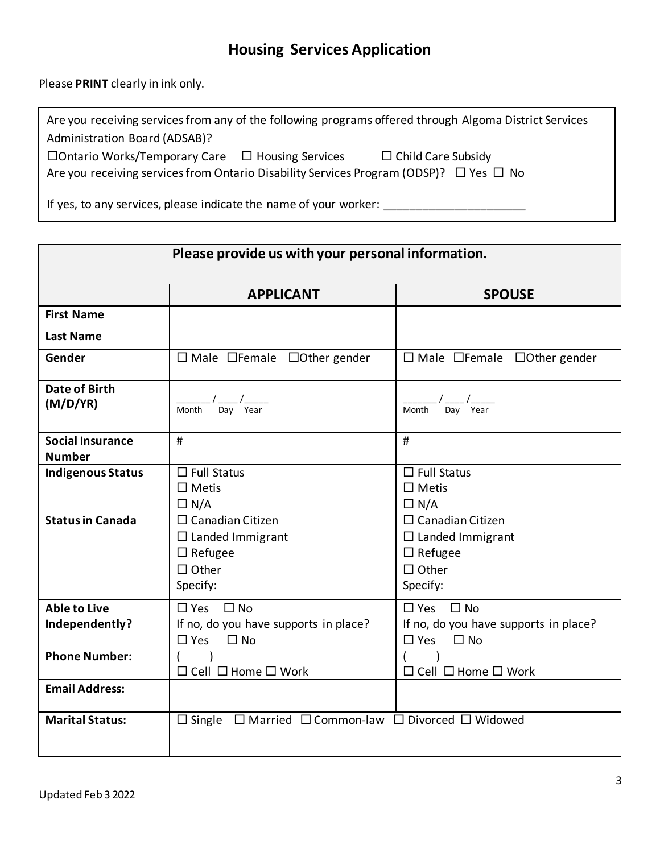# **Housing Services Application**

Please **PRINT** clearly in ink only.

| Are you receiving services from any of the following programs offered through Algoma District Services |  |                           |  |  |
|--------------------------------------------------------------------------------------------------------|--|---------------------------|--|--|
| Administration Board (ADSAB)?                                                                          |  |                           |  |  |
| $\Box$ Ontario Works/Temporary Care $\Box$ Housing Services                                            |  | $\Box$ Child Care Subsidy |  |  |
| Are you receiving services from Ontario Disability Services Program (ODSP)? $\Box$ Yes $\Box$ No       |  |                           |  |  |

If yes, to any services, please indicate the name of your worker: \_\_\_\_\_\_\_\_\_\_\_\_\_\_\_\_\_\_\_\_\_\_

|                                          | Please provide us with your personal information.                                                |                                                                                                  |
|------------------------------------------|--------------------------------------------------------------------------------------------------|--------------------------------------------------------------------------------------------------|
|                                          | <b>APPLICANT</b>                                                                                 | <b>SPOUSE</b>                                                                                    |
| <b>First Name</b>                        |                                                                                                  |                                                                                                  |
| <b>Last Name</b>                         |                                                                                                  |                                                                                                  |
| Gender                                   | $\Box$ Male $\Box$ Female $\Box$ Other gender                                                    | $\Box$ Male $\Box$ Female $\Box$ Other gender                                                    |
| <b>Date of Birth</b><br>(M/D/YR)         | $\frac{1}{\text{Month}} / \frac{1}{\text{Day}} / \frac{1}{\text{Year}}$                          | Month Day Year                                                                                   |
| <b>Social Insurance</b><br><b>Number</b> | #                                                                                                | #                                                                                                |
| <b>Indigenous Status</b>                 | $\Box$ Full Status<br>$\square$ Metis<br>$\Box N/A$                                              | $\Box$ Full Status<br>$\Box$ Metis<br>$\Box N/A$                                                 |
| <b>Status in Canada</b>                  | $\Box$ Canadian Citizen<br>$\Box$ Landed Immigrant<br>$\Box$ Refugee<br>$\Box$ Other<br>Specify: | $\Box$ Canadian Citizen<br>$\Box$ Landed Immigrant<br>$\Box$ Refugee<br>$\Box$ Other<br>Specify: |
| <b>Able to Live</b><br>Independently?    | $\square$ Yes<br>$\Box$ No<br>If no, do you have supports in place?<br>$\Box$ Yes<br>$\Box$ No   | $\Box$ Yes $\Box$ No<br>If no, do you have supports in place?<br>$\square$ Yes<br>$\Box$ No      |
| <b>Phone Number:</b>                     | □ Cell □ Home □ Work                                                                             | $\Box$ Cell $\Box$ Home $\Box$ Work                                                              |
| <b>Email Address:</b>                    |                                                                                                  |                                                                                                  |
| <b>Marital Status:</b>                   | $\Box$ Single $\Box$ Married $\Box$ Common-law $\Box$ Divorced $\Box$ Widowed                    |                                                                                                  |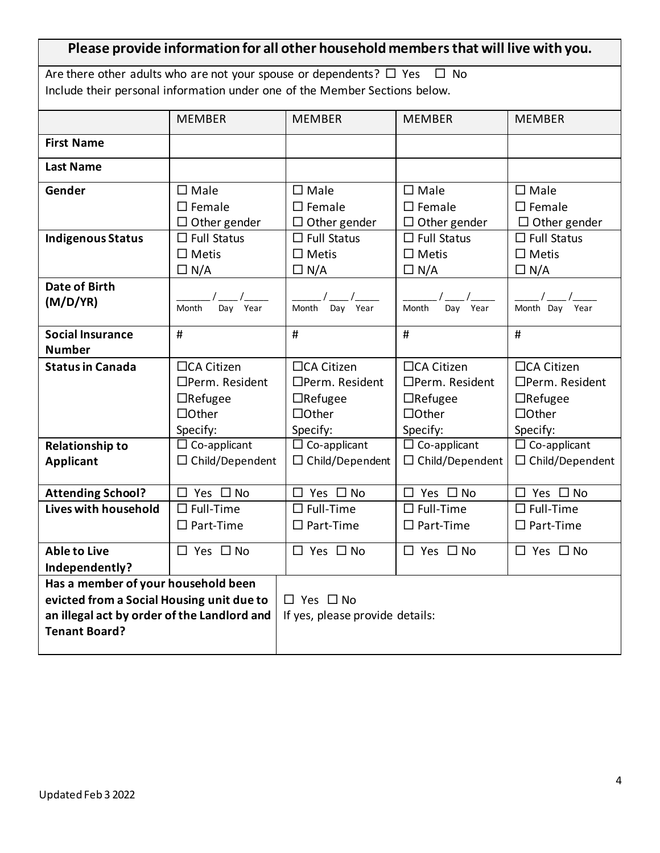| Please provide information for all other household members that will live with you. |                                                                            |                                 |                        |                                |  |
|-------------------------------------------------------------------------------------|----------------------------------------------------------------------------|---------------------------------|------------------------|--------------------------------|--|
| Are there other adults who are not your spouse or dependents? $\Box$ Yes $\Box$ No  |                                                                            |                                 |                        |                                |  |
|                                                                                     | Include their personal information under one of the Member Sections below. |                                 |                        |                                |  |
|                                                                                     | <b>MEMBER</b>                                                              | <b>MEMBER</b>                   | <b>MEMBER</b>          | <b>MEMBER</b>                  |  |
| <b>First Name</b>                                                                   |                                                                            |                                 |                        |                                |  |
| <b>Last Name</b>                                                                    |                                                                            |                                 |                        |                                |  |
| Gender                                                                              | $\square$ Male                                                             | $\square$ Male                  | $\square$ Male         | $\square$ Male                 |  |
|                                                                                     | $\square$ Female                                                           | $\square$ Female                | $\square$ Female       | $\square$ Female               |  |
|                                                                                     | $\Box$ Other gender                                                        | $\Box$ Other gender             | $\Box$ Other gender    | $\Box$ Other gender            |  |
| <b>Indigenous Status</b>                                                            | $\Box$ Full Status                                                         | $\Box$ Full Status              | $\Box$ Full Status     | $\Box$ Full Status             |  |
|                                                                                     | $\Box$ Metis                                                               | $\Box$ Metis                    | $\Box$ Metis           | $\square$ Metis                |  |
|                                                                                     | $\Box$ N/A                                                                 | $\Box N/A$                      | $\Box N/A$             | $\Box$ N/A                     |  |
| <b>Date of Birth</b>                                                                |                                                                            |                                 |                        |                                |  |
| (M/D/YA)                                                                            | Day Year<br>Month                                                          | Day Year<br>Month               | Month<br>Day Year      | Month Day<br>Year              |  |
|                                                                                     |                                                                            |                                 |                        |                                |  |
| <b>Social Insurance</b>                                                             | #                                                                          | #                               | #                      | #                              |  |
| <b>Number</b>                                                                       |                                                                            |                                 |                        |                                |  |
| <b>Status in Canada</b>                                                             | □CA Citizen                                                                | □CA Citizen                     | □CA Citizen            | □CA Citizen                    |  |
|                                                                                     | □Perm. Resident                                                            | □Perm. Resident                 | □Perm. Resident        | □Perm. Resident                |  |
|                                                                                     | $\Box$ Refugee                                                             | $\Box$ Refugee                  | $\Box$ Refugee         | $\Box$ Refugee                 |  |
|                                                                                     | $\Box$ Other                                                               | $\Box$ Other                    | $\Box$ Other           | $\Box$ Other                   |  |
|                                                                                     | Specify:                                                                   | Specify:                        | Specify:               | Specify:                       |  |
| <b>Relationship to</b>                                                              | $\Box$ Co-applicant                                                        | $\Box$ Co-applicant             | $\Box$ Co-applicant    | $\overline{\Box}$ Co-applicant |  |
| <b>Applicant</b>                                                                    | $\square$ Child/Dependent                                                  | $\Box$ Child/Dependent          | $\Box$ Child/Dependent | $\Box$ Child/Dependent         |  |
|                                                                                     |                                                                            |                                 |                        |                                |  |
| <b>Attending School?</b>                                                            | Yes $\Box$ No<br>П.                                                        | Yes $\square$ No<br>$\Box$      | $\Box$ Yes $\Box$ No   | $\Box$ Yes $\Box$ No           |  |
| Lives with household                                                                | $\square$ Full-Time                                                        | $\square$ Full-Time             | $\Box$ Full-Time       | $\square$ Full-Time            |  |
|                                                                                     | $\square$ Part-Time                                                        | $\square$ Part-Time             | $\square$ Part-Time    | $\square$ Part-Time            |  |
| <b>Able to Live</b>                                                                 | $\Box$ Yes $\Box$ No                                                       | $\Box$ Yes $\Box$ No            | $\Box$ Yes $\Box$ No   | $\Box$ Yes $\Box$ No           |  |
| Independently?                                                                      |                                                                            |                                 |                        |                                |  |
| Has a member of your household been                                                 |                                                                            |                                 |                        |                                |  |
| evicted from a Social Housing unit due to                                           |                                                                            | $\Box$ Yes $\Box$ No            |                        |                                |  |
| an illegal act by order of the Landlord and                                         |                                                                            | If yes, please provide details: |                        |                                |  |
| <b>Tenant Board?</b>                                                                |                                                                            |                                 |                        |                                |  |
|                                                                                     |                                                                            |                                 |                        |                                |  |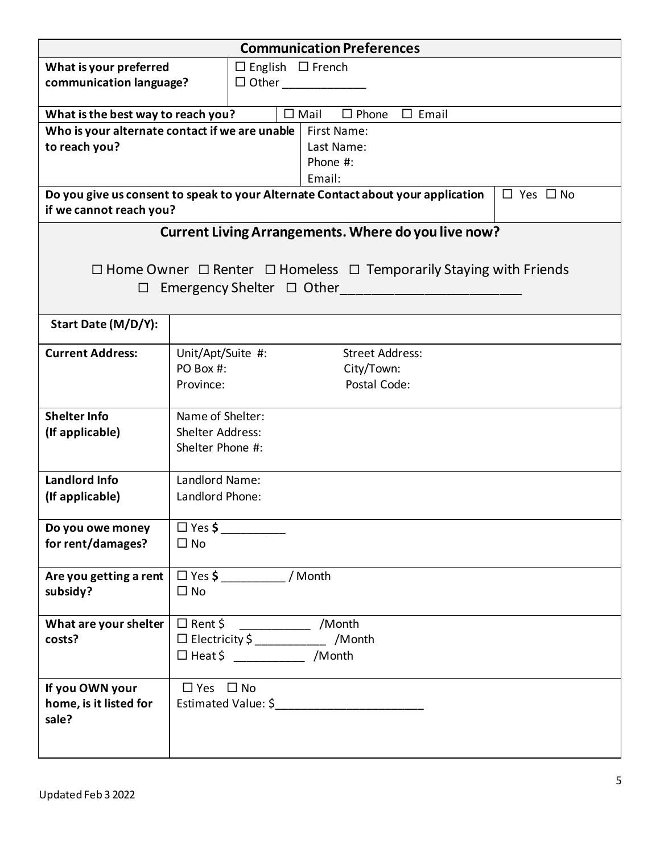| <b>Communication Preferences</b>               |                            |                                              |  |                                                                                         |                      |
|------------------------------------------------|----------------------------|----------------------------------------------|--|-----------------------------------------------------------------------------------------|----------------------|
| What is your preferred                         |                            | $\Box$ English $\Box$ French<br>$\Box$ Other |  |                                                                                         |                      |
| communication language?                        |                            |                                              |  |                                                                                         |                      |
| What is the best way to reach you?             |                            |                                              |  | $\square$ Mail<br>$\Box$ Phone<br>$\Box$ Email                                          |                      |
| Who is your alternate contact if we are unable |                            |                                              |  | First Name:                                                                             |                      |
| to reach you?                                  |                            |                                              |  | Last Name:<br>Phone #:                                                                  |                      |
|                                                |                            |                                              |  | Email:                                                                                  |                      |
| if we cannot reach you?                        |                            |                                              |  | Do you give us consent to speak to your Alternate Contact about your application        | $\Box$ Yes $\Box$ No |
|                                                |                            |                                              |  | Current Living Arrangements. Where do you live now?                                     |                      |
|                                                |                            |                                              |  | $\Box$ Home Owner $\Box$ Renter $\Box$ Homeless $\Box$ Temporarily Staying with Friends |                      |
| $\Box$                                         |                            |                                              |  | Emergency Shelter $\Box$ Other                                                          |                      |
|                                                |                            |                                              |  |                                                                                         |                      |
| Start Date (M/D/Y):                            |                            |                                              |  |                                                                                         |                      |
| <b>Current Address:</b>                        | Unit/Apt/Suite #:          |                                              |  | <b>Street Address:</b>                                                                  |                      |
|                                                | PO Box #:                  |                                              |  | City/Town:                                                                              |                      |
|                                                | Province:                  |                                              |  | Postal Code:                                                                            |                      |
| <b>Shelter Info</b>                            | Name of Shelter:           |                                              |  |                                                                                         |                      |
| (If applicable)                                | <b>Shelter Address:</b>    |                                              |  |                                                                                         |                      |
|                                                | Shelter Phone #:           |                                              |  |                                                                                         |                      |
| <b>Landlord Info</b>                           | Landlord Name:             |                                              |  |                                                                                         |                      |
| (If applicable)                                | Landlord Phone:            |                                              |  |                                                                                         |                      |
| Do you owe money                               | $\Box$ Yes \$              |                                              |  |                                                                                         |                      |
| for rent/damages?                              | $\square$ No               |                                              |  |                                                                                         |                      |
| Are you getting a rent                         | $\Box$ Yes $\oint$ / Month |                                              |  |                                                                                         |                      |
| subsidy?                                       | $\square$ No               |                                              |  |                                                                                         |                      |
| What are your shelter                          |                            |                                              |  | $\Box$ Rent \$ ________________ /Month                                                  |                      |
| costs?                                         |                            |                                              |  | □ Electricity \$ _____________ /Month                                                   |                      |
|                                                |                            |                                              |  | $\Box$ Heat \$ _______________ /Month                                                   |                      |
| If you OWN your                                | $\Box$ Yes $\Box$ No       |                                              |  |                                                                                         |                      |
| home, is it listed for                         |                            |                                              |  | Estimated Value: \$___________________________                                          |                      |
| sale?                                          |                            |                                              |  |                                                                                         |                      |
|                                                |                            |                                              |  |                                                                                         |                      |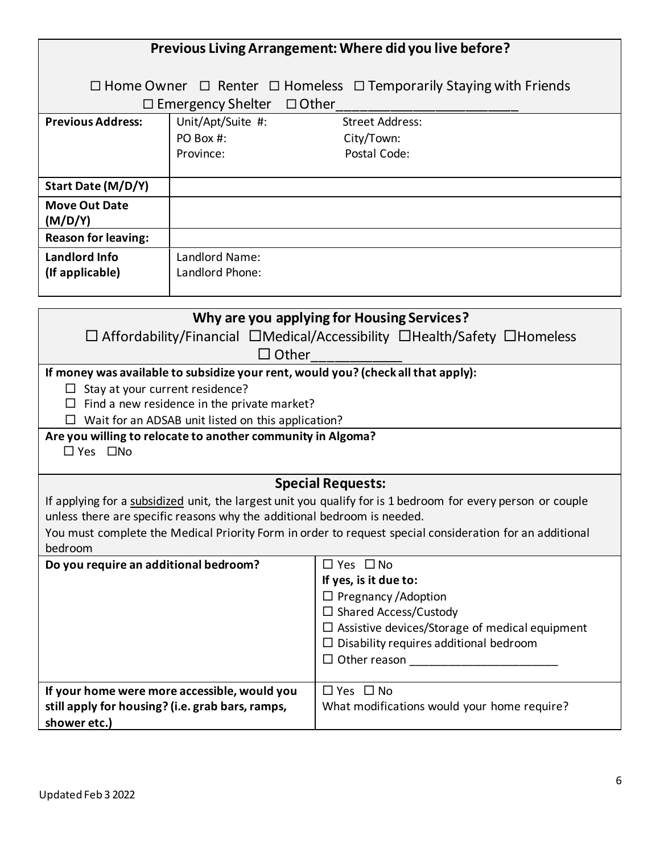|                                                                  | Previous Living Arrangement: Where did you live before?                 |                                                                                                                                         |  |
|------------------------------------------------------------------|-------------------------------------------------------------------------|-----------------------------------------------------------------------------------------------------------------------------------------|--|
|                                                                  |                                                                         |                                                                                                                                         |  |
|                                                                  |                                                                         | $\Box$ Home Owner $\Box$ Renter $\Box$ Homeless $\Box$ Temporarily Staying with Friends                                                 |  |
|                                                                  | $\Box$ Other<br>$\Box$ Emergency Shelter                                |                                                                                                                                         |  |
| <b>Previous Address:</b>                                         | Unit/Apt/Suite #:                                                       | <b>Street Address:</b>                                                                                                                  |  |
|                                                                  | PO Box #:<br>Province:                                                  | City/Town:<br>Postal Code:                                                                                                              |  |
|                                                                  |                                                                         |                                                                                                                                         |  |
| Start Date (M/D/Y)                                               |                                                                         |                                                                                                                                         |  |
| <b>Move Out Date</b><br>(M/D/Y)                                  |                                                                         |                                                                                                                                         |  |
| <b>Reason for leaving:</b>                                       |                                                                         |                                                                                                                                         |  |
| Landlord Info                                                    | Landlord Name:                                                          |                                                                                                                                         |  |
| (If applicable)                                                  | Landlord Phone:                                                         |                                                                                                                                         |  |
|                                                                  |                                                                         |                                                                                                                                         |  |
|                                                                  |                                                                         | Why are you applying for Housing Services?                                                                                              |  |
|                                                                  |                                                                         | $\Box$ Affordability/Financial $\Box$ Medical/Accessibility $\Box$ Health/Safety $\Box$ Homeless                                        |  |
|                                                                  | $\Box$ Other                                                            |                                                                                                                                         |  |
|                                                                  |                                                                         | If money was available to subsidize your rent, would you? (check all that apply):                                                       |  |
| $\Box$ Stay at your current residence?                           | Find a new residence in the private market?                             |                                                                                                                                         |  |
|                                                                  | Wait for an ADSAB unit listed on this application?                      |                                                                                                                                         |  |
|                                                                  | Are you willing to relocate to another community in Algoma?             |                                                                                                                                         |  |
| $\Box$ Yes $\Box$ No                                             |                                                                         |                                                                                                                                         |  |
|                                                                  |                                                                         |                                                                                                                                         |  |
|                                                                  |                                                                         | <b>Special Requests:</b><br>If applying for a subsidized unit, the largest unit you qualify for is 1 bedroom for every person or couple |  |
|                                                                  | unless there are specific reasons why the additional bedroom is needed. |                                                                                                                                         |  |
|                                                                  |                                                                         | You must complete the Medical Priority Form in order to request special consideration for an additional                                 |  |
| bedroom                                                          |                                                                         |                                                                                                                                         |  |
| Do you require an additional bedroom?                            |                                                                         | $\Box$ Yes $\Box$ No                                                                                                                    |  |
|                                                                  |                                                                         | If yes, is it due to:                                                                                                                   |  |
|                                                                  |                                                                         | $\Box$ Pregnancy / Adoption<br>$\Box$ Shared Access/Custody                                                                             |  |
|                                                                  |                                                                         | $\Box$ Assistive devices/Storage of medical equipment                                                                                   |  |
|                                                                  |                                                                         | $\Box$ Disability requires additional bedroom                                                                                           |  |
|                                                                  |                                                                         |                                                                                                                                         |  |
|                                                                  |                                                                         |                                                                                                                                         |  |
|                                                                  | If your home were more accessible, would you                            | $\Box$ Yes $\Box$ No                                                                                                                    |  |
| still apply for housing? (i.e. grab bars, ramps,<br>shower etc.) |                                                                         | What modifications would your home require?                                                                                             |  |
|                                                                  |                                                                         |                                                                                                                                         |  |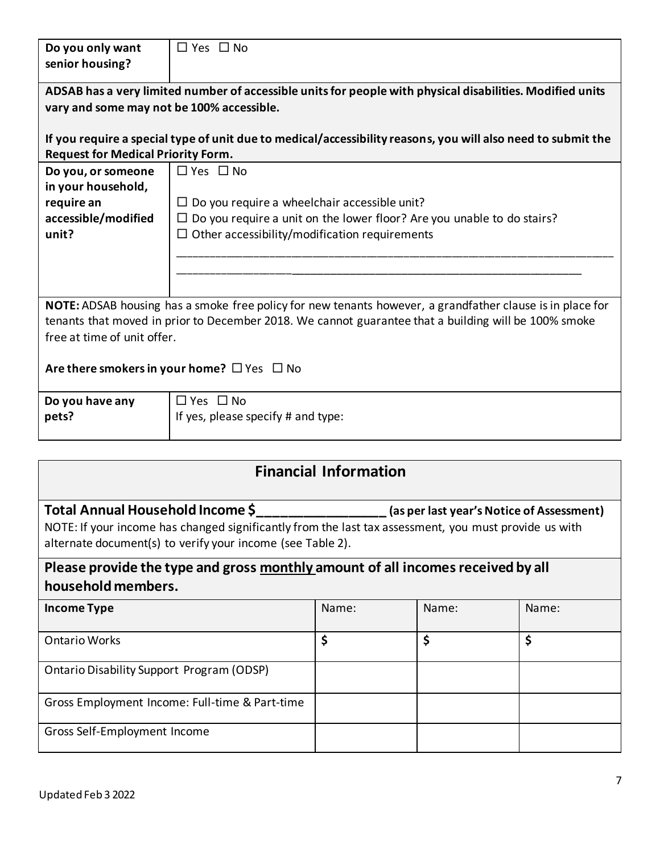| Do you only want                                 | $\Box$ Yes $\Box$ No                                                                                         |                              |                                           |       |  |
|--------------------------------------------------|--------------------------------------------------------------------------------------------------------------|------------------------------|-------------------------------------------|-------|--|
| senior housing?                                  |                                                                                                              |                              |                                           |       |  |
|                                                  | ADSAB has a very limited number of accessible units for people with physical disabilities. Modified units    |                              |                                           |       |  |
| vary and some may not be 100% accessible.        |                                                                                                              |                              |                                           |       |  |
|                                                  |                                                                                                              |                              |                                           |       |  |
|                                                  | If you require a special type of unit due to medical/accessibility reasons, you will also need to submit the |                              |                                           |       |  |
| <b>Request for Medical Priority Form.</b>        |                                                                                                              |                              |                                           |       |  |
| Do you, or someone<br>in your household,         | $\Box$ Yes $\Box$ No                                                                                         |                              |                                           |       |  |
| require an                                       | $\Box$ Do you require a wheelchair accessible unit?                                                          |                              |                                           |       |  |
| accessible/modified                              | $\Box$ Do you require a unit on the lower floor? Are you unable to do stairs?                                |                              |                                           |       |  |
| unit?                                            | $\Box$ Other accessibility/modification requirements                                                         |                              |                                           |       |  |
|                                                  |                                                                                                              |                              |                                           |       |  |
|                                                  |                                                                                                              |                              |                                           |       |  |
|                                                  |                                                                                                              |                              |                                           |       |  |
|                                                  | NOTE: ADSAB housing has a smoke free policy for new tenants however, a grandfather clause is in place for    |                              |                                           |       |  |
|                                                  | tenants that moved in prior to December 2018. We cannot guarantee that a building will be 100% smoke         |                              |                                           |       |  |
| free at time of unit offer.                      |                                                                                                              |                              |                                           |       |  |
|                                                  |                                                                                                              |                              |                                           |       |  |
|                                                  | Are there smokers in your home? $\Box$ Yes $\Box$ No                                                         |                              |                                           |       |  |
| Do you have any                                  | $\Box$ Yes $\Box$ No                                                                                         |                              |                                           |       |  |
| pets?                                            | If yes, please specify # and type:                                                                           |                              |                                           |       |  |
|                                                  |                                                                                                              |                              |                                           |       |  |
|                                                  |                                                                                                              |                              |                                           |       |  |
|                                                  |                                                                                                              | <b>Financial Information</b> |                                           |       |  |
| Total Annual Household Income \$                 |                                                                                                              |                              | (as per last year's Notice of Assessment) |       |  |
|                                                  | NOTE: If your income has changed significantly from the last tax assessment, you must provide us with        |                              |                                           |       |  |
|                                                  | alternate document(s) to verify your income (see Table 2).                                                   |                              |                                           |       |  |
|                                                  | Please provide the type and gross monthly amount of all incomes received by all                              |                              |                                           |       |  |
| household members.                               |                                                                                                              |                              |                                           |       |  |
| <b>Income Type</b>                               |                                                                                                              | Name:                        | Name:                                     | Name: |  |
|                                                  |                                                                                                              |                              |                                           |       |  |
| <b>Ontario Works</b>                             |                                                                                                              | \$                           | \$                                        | \$    |  |
| <b>Ontario Disability Support Program (ODSP)</b> |                                                                                                              |                              |                                           |       |  |
|                                                  | Gross Employment Income: Full-time & Part-time                                                               |                              |                                           |       |  |
| Gross Self-Employment Income                     |                                                                                                              |                              |                                           |       |  |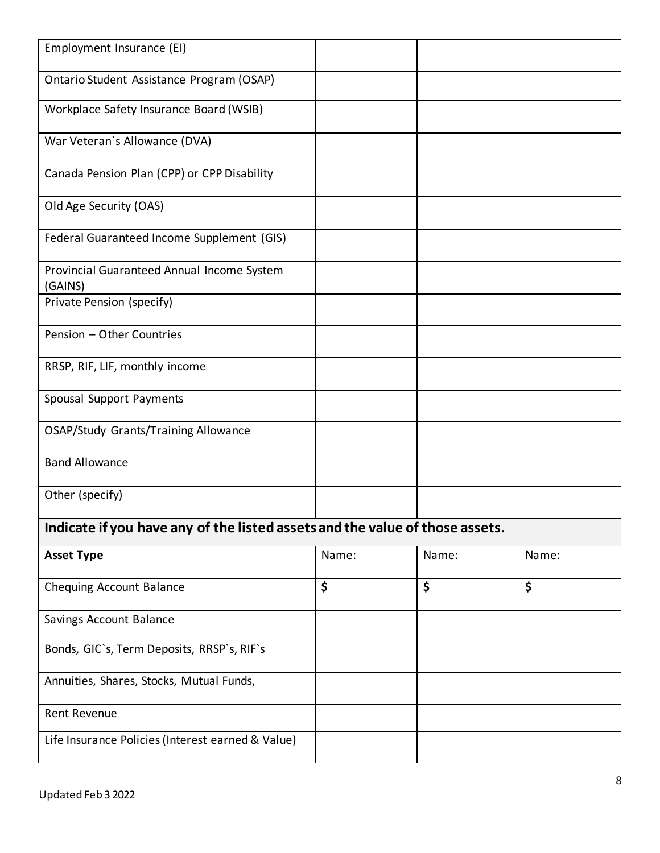| Employment Insurance (EI)                                                    |       |       |       |
|------------------------------------------------------------------------------|-------|-------|-------|
| Ontario Student Assistance Program (OSAP)                                    |       |       |       |
| Workplace Safety Insurance Board (WSIB)                                      |       |       |       |
| War Veteran's Allowance (DVA)                                                |       |       |       |
| Canada Pension Plan (CPP) or CPP Disability                                  |       |       |       |
| Old Age Security (OAS)                                                       |       |       |       |
| Federal Guaranteed Income Supplement (GIS)                                   |       |       |       |
| Provincial Guaranteed Annual Income System<br>(GAINS)                        |       |       |       |
| Private Pension (specify)                                                    |       |       |       |
| Pension - Other Countries                                                    |       |       |       |
| RRSP, RIF, LIF, monthly income                                               |       |       |       |
| Spousal Support Payments                                                     |       |       |       |
| <b>OSAP/Study Grants/Training Allowance</b>                                  |       |       |       |
| <b>Band Allowance</b>                                                        |       |       |       |
| Other (specify)                                                              |       |       |       |
| Indicate if you have any of the listed assets and the value of those assets. |       |       |       |
| <b>Asset Type</b>                                                            | Name: | Name: | Name: |
| Chequing Account Balance                                                     | \$    | \$    | \$    |
| Savings Account Balance                                                      |       |       |       |
| Bonds, GIC's, Term Deposits, RRSP's, RIF's                                   |       |       |       |
| Annuities, Shares, Stocks, Mutual Funds,                                     |       |       |       |
| <b>Rent Revenue</b>                                                          |       |       |       |
| Life Insurance Policies (Interest earned & Value)                            |       |       |       |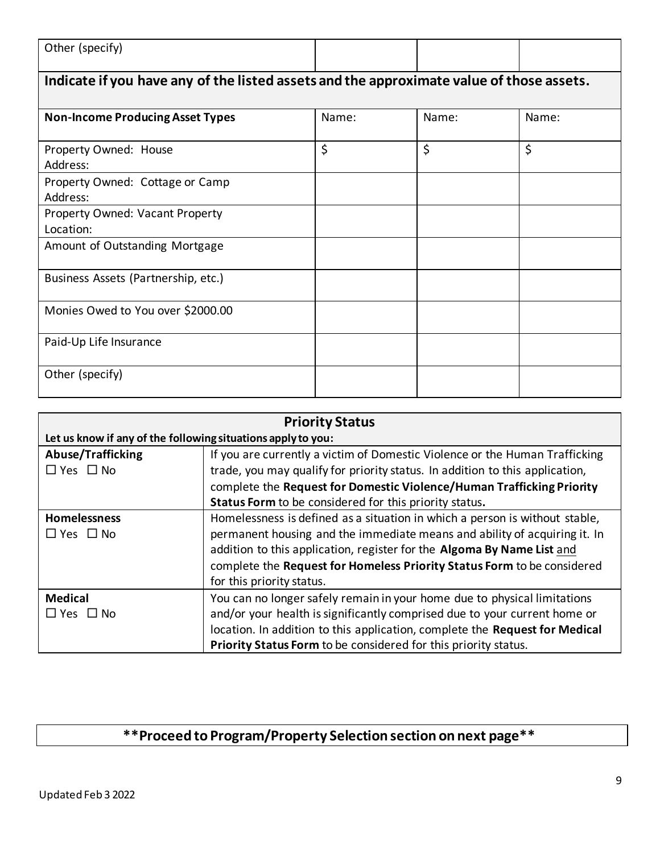| Other (specify) |   |   |        |
|-----------------|---|---|--------|
| .<br>.          | . | . | $\sim$ |

### **Indicate if you have any of the listed assets and the approximate value of those assets.**

| <b>Non-Income Producing Asset Types</b>     | Name: | Name: | Name: |
|---------------------------------------------|-------|-------|-------|
| Property Owned: House<br>Address:           | \$    | \$    | \$    |
| Property Owned: Cottage or Camp<br>Address: |       |       |       |
| Property Owned: Vacant Property             |       |       |       |
| Location:                                   |       |       |       |
| Amount of Outstanding Mortgage              |       |       |       |
| Business Assets (Partnership, etc.)         |       |       |       |
| Monies Owed to You over \$2000.00           |       |       |       |
| Paid-Up Life Insurance                      |       |       |       |
| Other (specify)                             |       |       |       |

| <b>Priority Status</b>                                       |                                                                              |  |  |
|--------------------------------------------------------------|------------------------------------------------------------------------------|--|--|
| Let us know if any of the following situations apply to you: |                                                                              |  |  |
| <b>Abuse/Trafficking</b>                                     | If you are currently a victim of Domestic Violence or the Human Trafficking  |  |  |
| $\Box$ Yes $\Box$ No                                         | trade, you may qualify for priority status. In addition to this application, |  |  |
|                                                              | complete the Request for Domestic Violence/Human Trafficking Priority        |  |  |
|                                                              | Status Form to be considered for this priority status.                       |  |  |
| <b>Homelessness</b>                                          | Homelessness is defined as a situation in which a person is without stable,  |  |  |
| $\Box$ Yes $\Box$ No                                         | permanent housing and the immediate means and ability of acquiring it. In    |  |  |
|                                                              | addition to this application, register for the Algoma By Name List and       |  |  |
|                                                              | complete the Request for Homeless Priority Status Form to be considered      |  |  |
|                                                              | for this priority status.                                                    |  |  |
| <b>Medical</b>                                               | You can no longer safely remain in your home due to physical limitations     |  |  |
| $\Box$ Yes $\Box$ No                                         | and/or your health is significantly comprised due to your current home or    |  |  |
|                                                              | location. In addition to this application, complete the Request for Medical  |  |  |
|                                                              | Priority Status Form to be considered for this priority status.              |  |  |

# **\*\*Proceed to Program/Property Selection section on next page\*\***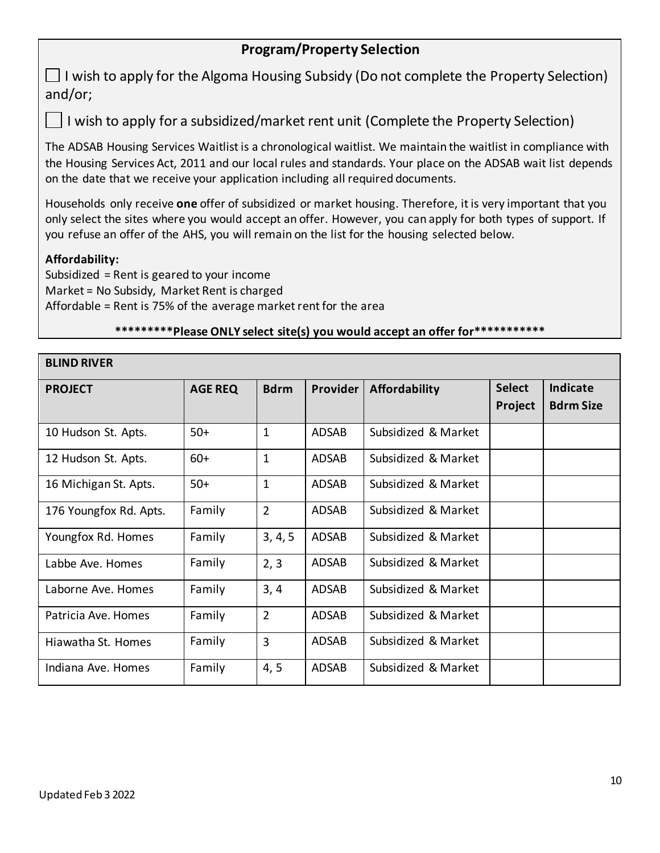## **Program/Property Selection**

 $\Box$  I wish to apply for the Algoma Housing Subsidy (Do not complete the Property Selection) and/or;

I wish to apply for a subsidized/market rent unit (Complete the Property Selection)

The ADSAB Housing Services Waitlist is a chronological waitlist. We maintain the waitlist in compliance with the Housing Services Act, 2011 and our local rules and standards. Your place on the ADSAB wait list depends on the date that we receive your application including all required documents.

Households only receive **one** offer of subsidized or market housing. Therefore, it is very important that you only select the sites where you would accept an offer. However, you can apply for both types of support. If you refuse an offer of the AHS, you will remain on the list for the housing selected below.

#### **Affordability:**

Subsidized = Rent is geared to your income Market = No Subsidy, Market Rent is charged Affordable = Rent is 75% of the average market rent for the area

#### **\*\*\*\*\*\*\*\*\*Please ONLY select site(s) you would accept an offer for\*\*\*\*\*\*\*\*\*\*\***

| <b>BLIND RIVER</b>     |                |                |                 |                      |                          |                              |  |  |  |
|------------------------|----------------|----------------|-----------------|----------------------|--------------------------|------------------------------|--|--|--|
| <b>PROJECT</b>         | <b>AGE REQ</b> | <b>Bdrm</b>    | <b>Provider</b> | <b>Affordability</b> | <b>Select</b><br>Project | Indicate<br><b>Bdrm Size</b> |  |  |  |
| 10 Hudson St. Apts.    | $50+$          | $\mathbf{1}$   | <b>ADSAB</b>    | Subsidized & Market  |                          |                              |  |  |  |
| 12 Hudson St. Apts.    | $60+$          | $\mathbf{1}$   | <b>ADSAB</b>    | Subsidized & Market  |                          |                              |  |  |  |
| 16 Michigan St. Apts.  | $50+$          | $\mathbf{1}$   | <b>ADSAB</b>    | Subsidized & Market  |                          |                              |  |  |  |
| 176 Youngfox Rd. Apts. | Family         | $\overline{2}$ | ADSAB           | Subsidized & Market  |                          |                              |  |  |  |
| Youngfox Rd. Homes     | Family         | 3, 4, 5        | <b>ADSAB</b>    | Subsidized & Market  |                          |                              |  |  |  |
| Labbe Ave. Homes       | Family         | 2, 3           | <b>ADSAB</b>    | Subsidized & Market  |                          |                              |  |  |  |
| Laborne Ave. Homes     | Family         | 3, 4           | <b>ADSAB</b>    | Subsidized & Market  |                          |                              |  |  |  |
| Patricia Ave. Homes    | Family         | $\overline{2}$ | <b>ADSAB</b>    | Subsidized & Market  |                          |                              |  |  |  |
| Hiawatha St. Homes     | Family         | $\overline{3}$ | <b>ADSAB</b>    | Subsidized & Market  |                          |                              |  |  |  |
| Indiana Ave. Homes     | Family         | 4, 5           | <b>ADSAB</b>    | Subsidized & Market  |                          |                              |  |  |  |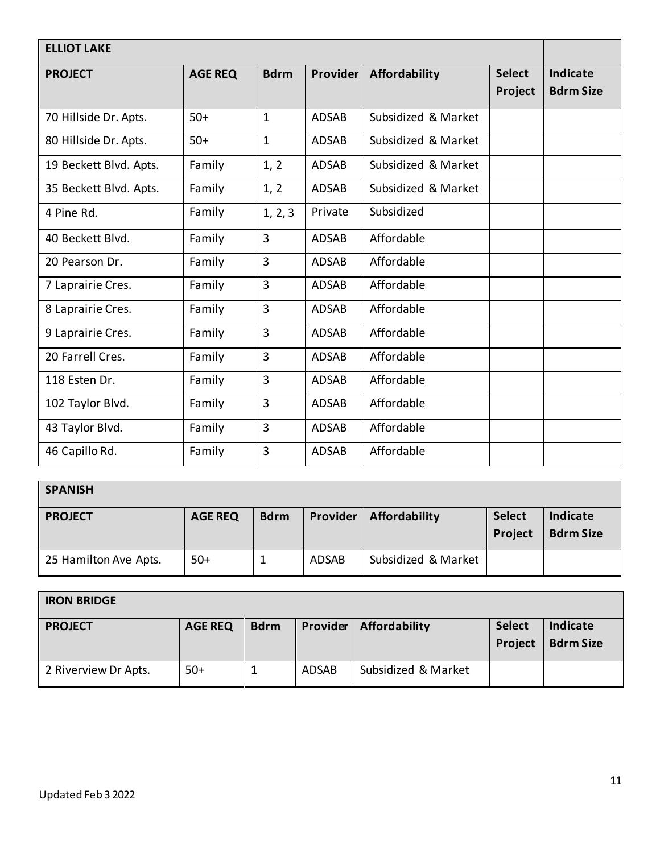| <b>ELLIOT LAKE</b>     |                |                |              |                      |                          |                                     |
|------------------------|----------------|----------------|--------------|----------------------|--------------------------|-------------------------------------|
| <b>PROJECT</b>         | <b>AGE REQ</b> | <b>Bdrm</b>    | Provider     | <b>Affordability</b> | <b>Select</b><br>Project | <b>Indicate</b><br><b>Bdrm Size</b> |
| 70 Hillside Dr. Apts.  | $50+$          | $\mathbf{1}$   | <b>ADSAB</b> | Subsidized & Market  |                          |                                     |
| 80 Hillside Dr. Apts.  | $50+$          | $\mathbf{1}$   | <b>ADSAB</b> | Subsidized & Market  |                          |                                     |
| 19 Beckett Blvd. Apts. | Family         | 1, 2           | <b>ADSAB</b> | Subsidized & Market  |                          |                                     |
| 35 Beckett Blvd. Apts. | Family         | 1, 2           | <b>ADSAB</b> | Subsidized & Market  |                          |                                     |
| 4 Pine Rd.             | Family         | 1, 2, 3        | Private      | Subsidized           |                          |                                     |
| 40 Beckett Blvd.       | Family         | $\overline{3}$ | <b>ADSAB</b> | Affordable           |                          |                                     |
| 20 Pearson Dr.         | Family         | $\overline{3}$ | <b>ADSAB</b> | Affordable           |                          |                                     |
| 7 Laprairie Cres.      | Family         | 3              | <b>ADSAB</b> | Affordable           |                          |                                     |
| 8 Laprairie Cres.      | Family         | 3              | <b>ADSAB</b> | Affordable           |                          |                                     |
| 9 Laprairie Cres.      | Family         | 3              | <b>ADSAB</b> | Affordable           |                          |                                     |
| 20 Farrell Cres.       | Family         | $\overline{3}$ | <b>ADSAB</b> | Affordable           |                          |                                     |
| 118 Esten Dr.          | Family         | 3              | <b>ADSAB</b> | Affordable           |                          |                                     |
| 102 Taylor Blvd.       | Family         | $\overline{3}$ | <b>ADSAB</b> | Affordable           |                          |                                     |
| 43 Taylor Blvd.        | Family         | 3              | <b>ADSAB</b> | Affordable           |                          |                                     |
| 46 Capillo Rd.         | Family         | $\overline{3}$ | <b>ADSAB</b> | Affordable           |                          |                                     |

| <b>SPANISH</b>        |                |             |              |                     |                          |                              |  |
|-----------------------|----------------|-------------|--------------|---------------------|--------------------------|------------------------------|--|
| <b>PROJECT</b>        | <b>AGE REQ</b> | <b>Bdrm</b> | Provider     | Affordability       | <b>Select</b><br>Project | Indicate<br><b>Bdrm Size</b> |  |
| 25 Hamilton Ave Apts. | $50+$          |             | <b>ADSAB</b> | Subsidized & Market |                          |                              |  |

| <b>IRON BRIDGE</b>   |                |             |          |                     |                          |                              |  |  |
|----------------------|----------------|-------------|----------|---------------------|--------------------------|------------------------------|--|--|
| <b>PROJECT</b>       | <b>AGE REQ</b> | <b>Bdrm</b> | Provider | Affordability       | <b>Select</b><br>Project | Indicate<br><b>Bdrm Size</b> |  |  |
| 2 Riverview Dr Apts. | $50+$          |             | ADSAB    | Subsidized & Market |                          |                              |  |  |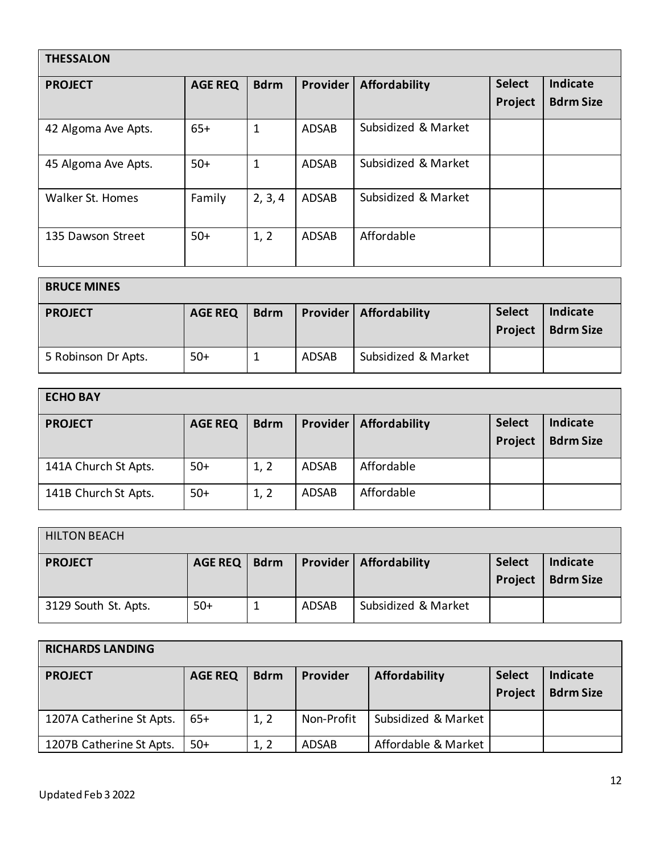| <b>THESSALON</b>    |                |             |              |                      |                          |                                     |  |  |
|---------------------|----------------|-------------|--------------|----------------------|--------------------------|-------------------------------------|--|--|
| <b>PROJECT</b>      | <b>AGE REQ</b> | <b>Bdrm</b> | Provider     | <b>Affordability</b> | <b>Select</b><br>Project | <b>Indicate</b><br><b>Bdrm Size</b> |  |  |
| 42 Algoma Ave Apts. | $65+$          | $\mathbf 1$ | <b>ADSAB</b> | Subsidized & Market  |                          |                                     |  |  |
| 45 Algoma Ave Apts. | $50+$          | 1           | <b>ADSAB</b> | Subsidized & Market  |                          |                                     |  |  |
| Walker St. Homes    | Family         | 2, 3, 4     | <b>ADSAB</b> | Subsidized & Market  |                          |                                     |  |  |
| 135 Dawson Street   | $50+$          | 1, 2        | <b>ADSAB</b> | Affordable           |                          |                                     |  |  |

| <b>BRUCE MINES</b>  |                |             |              |                                 |                          |                              |  |  |
|---------------------|----------------|-------------|--------------|---------------------------------|--------------------------|------------------------------|--|--|
| <b>PROJECT</b>      | <b>AGE REQ</b> | <b>Bdrm</b> |              | <b>Provider   Affordability</b> | <b>Select</b><br>Project | Indicate<br><b>Bdrm Size</b> |  |  |
| 5 Robinson Dr Apts. | $50+$          |             | <b>ADSAB</b> | Subsidized & Market             |                          |                              |  |  |

| <b>ECHO BAY</b>      |                |             |              |               |                          |                                     |  |  |
|----------------------|----------------|-------------|--------------|---------------|--------------------------|-------------------------------------|--|--|
| <b>PROJECT</b>       | <b>AGE REQ</b> | <b>Bdrm</b> | Provider     | Affordability | <b>Select</b><br>Project | <b>Indicate</b><br><b>Bdrm Size</b> |  |  |
| 141A Church St Apts. | $50+$          | 1, 2        | <b>ADSAB</b> | Affordable    |                          |                                     |  |  |
| 141B Church St Apts. | $50+$          | 1, 2        | <b>ADSAB</b> | Affordable    |                          |                                     |  |  |

| <b>HILTON BEACH</b>  |         |             |       |                                 |                          |                              |  |  |
|----------------------|---------|-------------|-------|---------------------------------|--------------------------|------------------------------|--|--|
| <b>PROJECT</b>       | AGE REQ | <b>Bdrm</b> |       | <b>Provider   Affordability</b> | <b>Select</b><br>Project | Indicate<br><b>Bdrm Size</b> |  |  |
| 3129 South St. Apts. | $50+$   |             | ADSAB | Subsidized & Market             |                          |                              |  |  |

| <b>RICHARDS LANDING</b>  |                |             |            |                     |                          |                              |  |  |
|--------------------------|----------------|-------------|------------|---------------------|--------------------------|------------------------------|--|--|
| <b>PROJECT</b>           | <b>AGE REQ</b> | <b>Bdrm</b> | Provider   | Affordability       | <b>Select</b><br>Project | Indicate<br><b>Bdrm Size</b> |  |  |
| 1207A Catherine St Apts. | $65+$          | 1, 2        | Non-Profit | Subsidized & Market |                          |                              |  |  |
| 1207B Catherine St Apts. | $50+$          | 1, 2        | ADSAB      | Affordable & Market |                          |                              |  |  |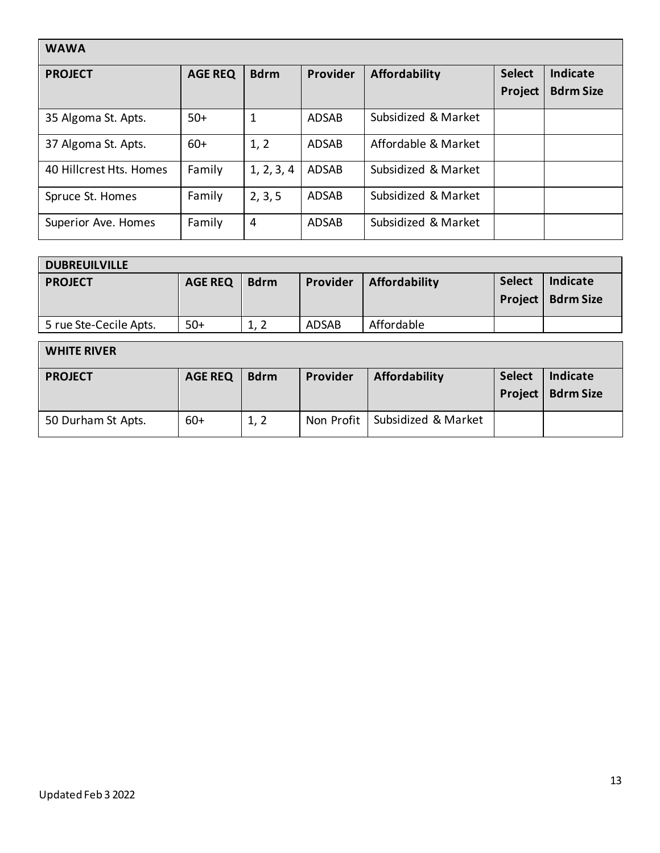| <b>WAWA</b>             |                |             |              |                     |                          |                              |  |  |
|-------------------------|----------------|-------------|--------------|---------------------|--------------------------|------------------------------|--|--|
| <b>PROJECT</b>          | <b>AGE REQ</b> | <b>Bdrm</b> | Provider     | Affordability       | <b>Select</b><br>Project | Indicate<br><b>Bdrm Size</b> |  |  |
| 35 Algoma St. Apts.     | $50+$          | 1           | <b>ADSAB</b> | Subsidized & Market |                          |                              |  |  |
| 37 Algoma St. Apts.     | $60+$          | 1, 2        | <b>ADSAB</b> | Affordable & Market |                          |                              |  |  |
| 40 Hillcrest Hts. Homes | Family         | 1, 2, 3, 4  | <b>ADSAB</b> | Subsidized & Market |                          |                              |  |  |
| Spruce St. Homes        | Family         | 2, 3, 5     | <b>ADSAB</b> | Subsidized & Market |                          |                              |  |  |
| Superior Ave. Homes     | Family         | 4           | <b>ADSAB</b> | Subsidized & Market |                          |                              |  |  |

| <b>DUBREUILVILLE</b>   |                |             |              |                      |               |                                        |  |  |
|------------------------|----------------|-------------|--------------|----------------------|---------------|----------------------------------------|--|--|
| <b>PROJECT</b>         | <b>AGE REQ</b> | <b>Bdrm</b> | Provider     | <b>Affordability</b> | <b>Select</b> | Indicate<br><b>Project   Bdrm Size</b> |  |  |
| 5 rue Ste-Cecile Apts. | $50+$          | 1, 2        | <b>ADSAB</b> | Affordable           |               |                                        |  |  |

| <b>WHITE RIVER</b> |                |             |            |                      |                          |                              |  |  |  |
|--------------------|----------------|-------------|------------|----------------------|--------------------------|------------------------------|--|--|--|
| <b>PROJECT</b>     | <b>AGE REQ</b> | <b>Bdrm</b> | Provider   | <b>Affordability</b> | <b>Select</b><br>Project | Indicate<br><b>Bdrm Size</b> |  |  |  |
| 50 Durham St Apts. | $60+$          | 1, 2        | Non Profit | Subsidized & Market  |                          |                              |  |  |  |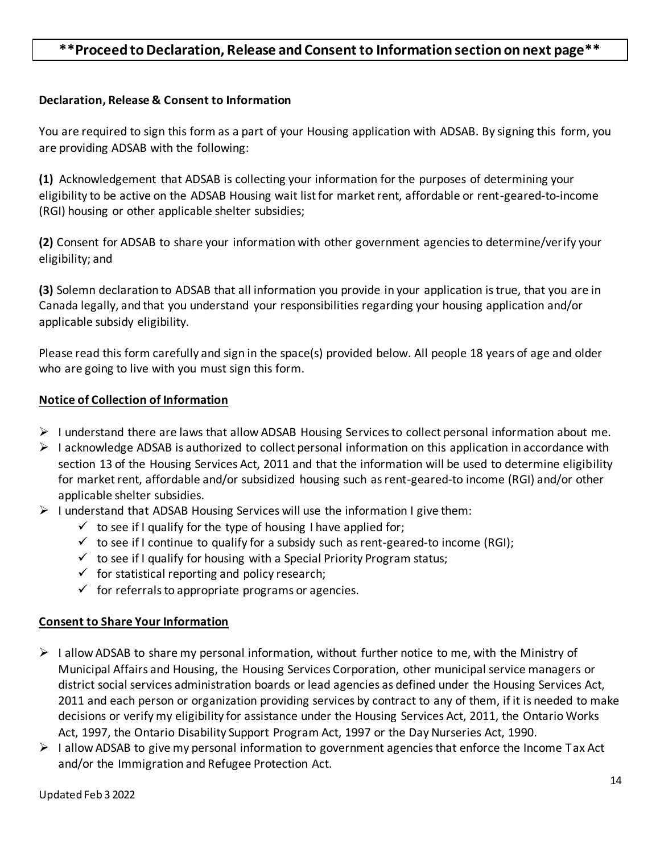### **\*\*Proceed to Declaration, Release and Consent to Information section on next page\*\***

#### **Declaration, Release & Consent to Information**

You are required to sign this form as a part of your Housing application with ADSAB. By signing this form, you are providing ADSAB with the following:

**(1)** Acknowledgement that ADSAB is collecting your information for the purposes of determining your eligibility to be active on the ADSAB Housing wait list for market rent, affordable or rent-geared-to-income (RGI) housing or other applicable shelter subsidies;

**(2)** Consent for ADSAB to share your information with other government agencies to determine/verify your eligibility; and

**(3)** Solemn declaration to ADSAB that all information you provide in your application is true, that you are in Canada legally, and that you understand your responsibilities regarding your housing application and/or applicable subsidy eligibility.

Please read this form carefully and sign in the space(s) provided below. All people 18 years of age and older who are going to live with you must sign this form.

#### **Notice of Collection of Information**

- $\triangleright$  I understand there are laws that allow ADSAB Housing Services to collect personal information about me.
- $\triangleright$  I acknowledge ADSAB is authorized to collect personal information on this application in accordance with section 13 of the Housing Services Act, 2011 and that the information will be used to determine eligibility for market rent, affordable and/or subsidized housing such as rent-geared-to income (RGI) and/or other applicable shelter subsidies.
- $\triangleright$  I understand that ADSAB Housing Services will use the information I give them:
	- $\checkmark$  to see if I qualify for the type of housing I have applied for;
	- $\checkmark$  to see if I continue to qualify for a subsidy such as rent-geared-to income (RGI);
	- $\checkmark$  to see if I qualify for housing with a Special Priority Program status;
	- $\checkmark$  for statistical reporting and policy research;
	- $\checkmark$  for referrals to appropriate programs or agencies.

#### **Consent to Share Your Information**

- $\triangleright$  I allow ADSAB to share my personal information, without further notice to me, with the Ministry of Municipal Affairs and Housing, the Housing Services Corporation, other municipal service managers or district social services administration boards or lead agencies as defined under the Housing Services Act, 2011 and each person or organization providing services by contract to any of them, if it is needed to make decisions or verify my eligibility for assistance under the Housing Services Act, 2011, the Ontario Works Act, 1997, the Ontario Disability Support Program Act, 1997 or the Day Nurseries Act, 1990.
- $\triangleright$  I allow ADSAB to give my personal information to government agencies that enforce the Income Tax Act and/or the Immigration and Refugee Protection Act.